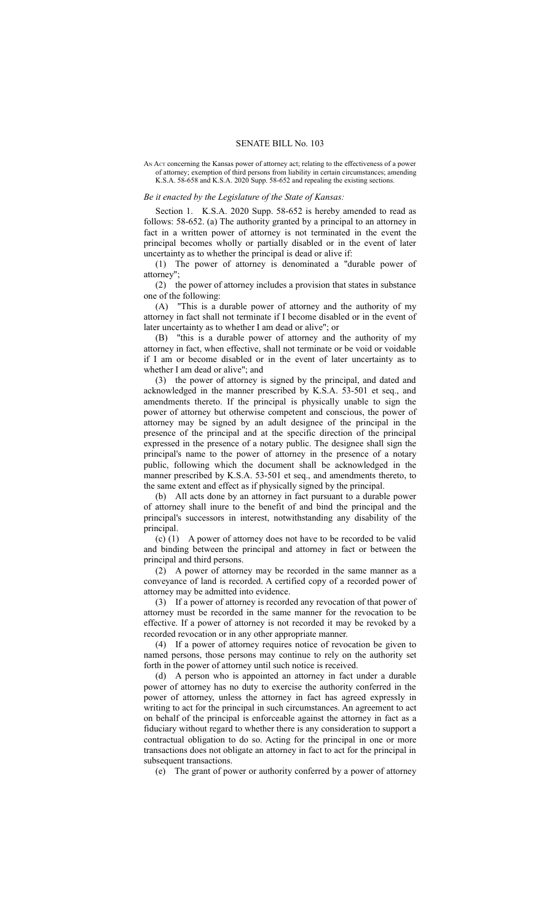## SENATE BILL No. 103

AN ACT concerning the Kansas power of attorney act; relating to the effectiveness of a power of attorney; exemption of third persons from liability in certain circumstances; amending K.S.A. 58-658 and K.S.A. 2020 Supp. 58-652 and repealing the existing sections.

## *Be it enacted by the Legislature of the State of Kansas:*

Section 1. K.S.A. 2020 Supp. 58-652 is hereby amended to read as follows: 58-652. (a) The authority granted by a principal to an attorney in fact in a written power of attorney is not terminated in the event the principal becomes wholly or partially disabled or in the event of later uncertainty as to whether the principal is dead or alive if:

(1) The power of attorney is denominated a "durable power of attorney"

(2) the power of attorney includes a provision that states in substance one of the following:

(A) "This is a durable power of attorney and the authority of my attorney in fact shall not terminate if I become disabled or in the event of later uncertainty as to whether I am dead or alive"; or

(B) "this is a durable power of attorney and the authority of my attorney in fact, when effective, shall not terminate or be void or voidable if I am or become disabled or in the event of later uncertainty as to whether I am dead or alive"; and

(3) the power of attorney is signed by the principal, and dated and acknowledged in the manner prescribed by K.S.A. 53-501 et seq., and amendments thereto. If the principal is physically unable to sign the power of attorney but otherwise competent and conscious, the power of attorney may be signed by an adult designee of the principal in the presence of the principal and at the specific direction of the principal expressed in the presence of a notary public. The designee shall sign the principal's name to the power of attorney in the presence of a notary public, following which the document shall be acknowledged in the manner prescribed by K.S.A. 53-501 et seq., and amendments thereto, to the same extent and effect as if physically signed by the principal.

(b) All acts done by an attorney in fact pursuant to a durable power of attorney shall inure to the benefit of and bind the principal and the principal's successors in interest, notwithstanding any disability of the principal.

(c) (1) A power of attorney does not have to be recorded to be valid and binding between the principal and attorney in fact or between the principal and third persons.

(2) A power of attorney may be recorded in the same manner as a conveyance of land is recorded. A certified copy of a recorded power of attorney may be admitted into evidence.

(3) If a power of attorney is recorded any revocation of that power of attorney must be recorded in the same manner for the revocation to be effective. If a power of attorney is not recorded it may be revoked by a recorded revocation or in any other appropriate manner.

(4) If a power of attorney requires notice of revocation be given to named persons, those persons may continue to rely on the authority set forth in the power of attorney until such notice is received.

(d) A person who is appointed an attorney in fact under a durable power of attorney has no duty to exercise the authority conferred in the power of attorney, unless the attorney in fact has agreed expressly in writing to act for the principal in such circumstances. An agreement to act on behalf of the principal is enforceable against the attorney in fact as a fiduciary without regard to whether there is any consideration to support a contractual obligation to do so. Acting for the principal in one or more transactions does not obligate an attorney in fact to act for the principal in subsequent transactions.

(e) The grant of power or authority conferred by a power of attorney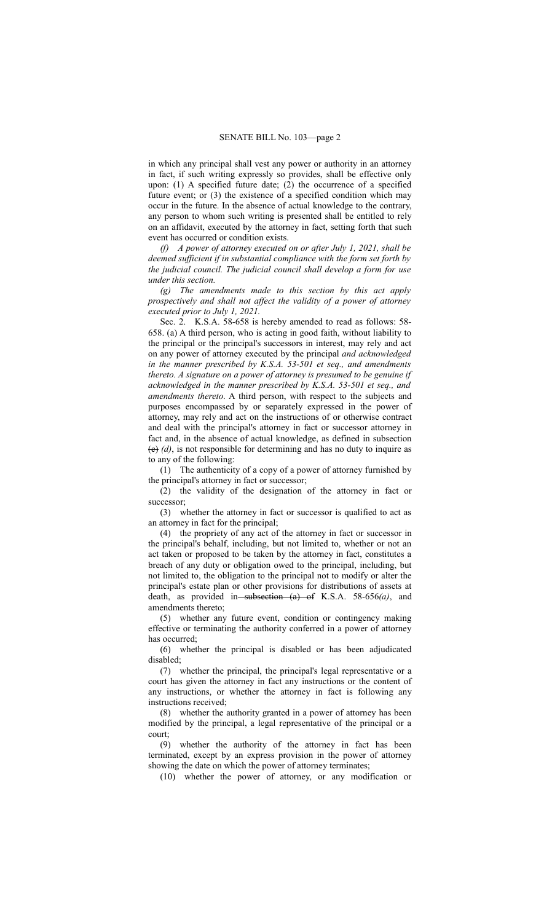in which any principal shall vest any power or authority in an attorney in fact, if such writing expressly so provides, shall be effective only upon: (1) A specified future date; (2) the occurrence of a specified future event; or (3) the existence of a specified condition which may occur in the future. In the absence of actual knowledge to the contrary, any person to whom such writing is presented shall be entitled to rely on an affidavit, executed by the attorney in fact, setting forth that such event has occurred or condition exists.

*(f) A power of attorney executed on or after July 1, 2021, shall be deemed sufficient if in substantial compliance with the form set forth by the judicial council. The judicial council shall develop a form for use under this section.*

*(g) The amendments made to this section by this act apply prospectively and shall not affect the validity of a power of attorney executed prior to July 1, 2021.*

Sec. 2. K.S.A. 58-658 is hereby amended to read as follows: 58- 658. (a) A third person, who is acting in good faith, without liability to the principal or the principal's successors in interest, may rely and act on any power of attorney executed by the principal *and acknowledged in the manner prescribed by K.S.A. 53-501 et seq., and amendments thereto. A signature on a power of attorney is presumed to be genuine if acknowledged in the manner prescribed by K.S.A. 53-501 et seq., and amendments thereto*. A third person, with respect to the subjects and purposes encompassed by or separately expressed in the power of attorney, may rely and act on the instructions of or otherwise contract and deal with the principal's attorney in fact or successor attorney in fact and, in the absence of actual knowledge, as defined in subsection  $(e)$  (d), is not responsible for determining and has no duty to inquire as to any of the following:

(1) The authenticity of a copy of a power of attorney furnished by the principal's attorney in fact or successor;

(2) the validity of the designation of the attorney in fact or successor;

(3) whether the attorney in fact or successor is qualified to act as an attorney in fact for the principal;

(4) the propriety of any act of the attorney in fact or successor in the principal's behalf, including, but not limited to, whether or not an act taken or proposed to be taken by the attorney in fact, constitutes a breach of any duty or obligation owed to the principal, including, but not limited to, the obligation to the principal not to modify or alter the principal's estate plan or other provisions for distributions of assets at death, as provided in subsection (a) of K.S.A. 58-656(a), and amendments thereto;

(5) whether any future event, condition or contingency making effective or terminating the authority conferred in a power of attorney has occurred;

(6) whether the principal is disabled or has been adjudicated disabled;

(7) whether the principal, the principal's legal representative or a court has given the attorney in fact any instructions or the content of any instructions, or whether the attorney in fact is following any instructions received;

(8) whether the authority granted in a power of attorney has been modified by the principal, a legal representative of the principal or a court;

(9) whether the authority of the attorney in fact has been terminated, except by an express provision in the power of attorney showing the date on which the power of attorney terminates;

(10) whether the power of attorney, or any modification or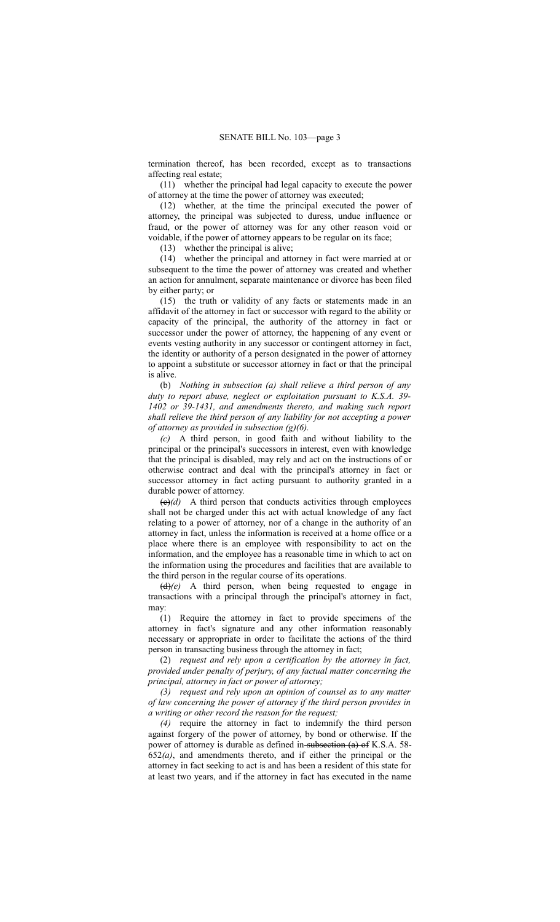termination thereof, has been recorded, except as to transactions affecting real estate;

(11) whether the principal had legal capacity to execute the power of attorney at the time the power of attorney was executed;

(12) whether, at the time the principal executed the power of attorney, the principal was subjected to duress, undue influence or fraud, or the power of attorney was for any other reason void or voidable, if the power of attorney appears to be regular on its face;

(13) whether the principal is alive;

(14) whether the principal and attorney in fact were married at or subsequent to the time the power of attorney was created and whether an action for annulment, separate maintenance or divorce has been filed by either party; or

(15) the truth or validity of any facts or statements made in an affidavit of the attorney in fact or successor with regard to the ability or capacity of the principal, the authority of the attorney in fact or successor under the power of attorney, the happening of any event or events vesting authority in any successor or contingent attorney in fact, the identity or authority of a person designated in the power of attorney to appoint a substitute or successor attorney in fact or that the principal is alive.

(b) *Nothing in subsection (a) shall relieve a third person of any duty to report abuse, neglect or exploitation pursuant to K.S.A. 39- 1402 or 39-1431, and amendments thereto, and making such report shall relieve the third person of any liability for not accepting a power of attorney as provided in subsection (g)(6).*

*(c)* A third person, in good faith and without liability to the principal or the principal's successors in interest, even with knowledge that the principal is disabled, may rely and act on the instructions of or otherwise contract and deal with the principal's attorney in fact or successor attorney in fact acting pursuant to authority granted in a durable power of attorney.

 $\left(\frac{e}{d}\right)$  A third person that conducts activities through employees shall not be charged under this act with actual knowledge of any fact relating to a power of attorney, nor of a change in the authority of an attorney in fact, unless the information is received at a home office or a place where there is an employee with responsibility to act on the information, and the employee has a reasonable time in which to act on the information using the procedures and facilities that are available to the third person in the regular course of its operations.

(d)*(e)* A third person, when being requested to engage in transactions with a principal through the principal's attorney in fact, may:

(1) Require the attorney in fact to provide specimens of the attorney in fact's signature and any other information reasonably necessary or appropriate in order to facilitate the actions of the third person in transacting business through the attorney in fact;

(2) *request and rely upon a certification by the attorney in fact, provided under penalty of perjury, of any factual matter concerning the principal, attorney in fact or power of attorney;*

*(3) request and rely upon an opinion of counsel as to any matter of law concerning the power of attorney if the third person provides in a writing or other record the reason for the request;*

*(4)* require the attorney in fact to indemnify the third person against forgery of the power of attorney, by bond or otherwise. If the power of attorney is durable as defined in-subsection (a) of K.S.A. 58-652*(a)*, and amendments thereto, and if either the principal or the attorney in fact seeking to act is and has been a resident of this state for at least two years, and if the attorney in fact has executed in the name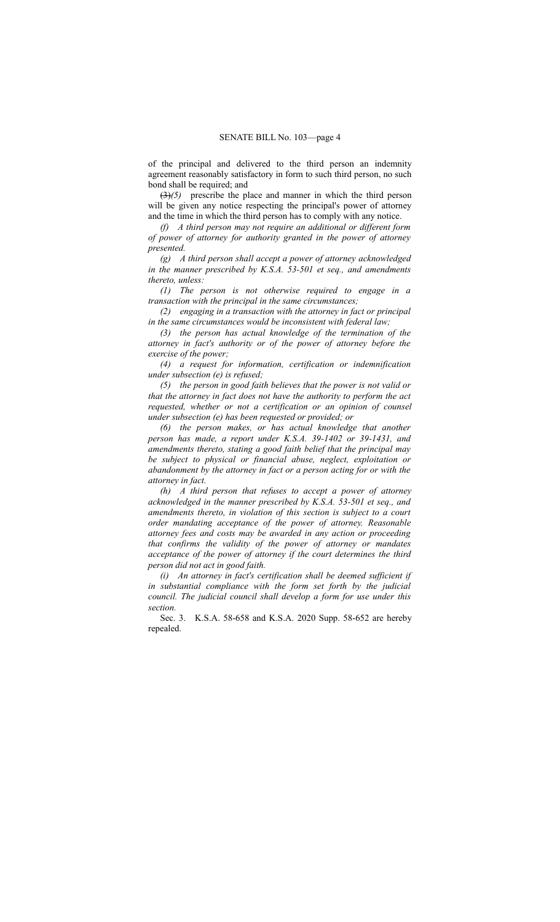of the principal and delivered to the third person an indemnity agreement reasonably satisfactory in form to such third person, no such bond shall be required; and

(3)*(5)* prescribe the place and manner in which the third person will be given any notice respecting the principal's power of attorney and the time in which the third person has to comply with any notice.

*(f) A third person may not require an additional or different form of power of attorney for authority granted in the power of attorney presented.*

*(g) A third person shall accept a power of attorney acknowledged in the manner prescribed by K.S.A. 53-501 et seq., and amendments thereto, unless:*

*(1) The person is not otherwise required to engage in a transaction with the principal in the same circumstances;*

*(2) engaging in a transaction with the attorney in fact or principal in the same circumstances would be inconsistent with federal law;*

*(3) the person has actual knowledge of the termination of the attorney in fact's authority or of the power of attorney before the exercise of the power;*

*(4) a request for information, certification or indemnification under subsection (e) is refused;*

*(5) the person in good faith believes that the power is not valid or that the attorney in fact does not have the authority to perform the act requested, whether or not a certification or an opinion of counsel under subsection (e) has been requested or provided; or*

*(6) the person makes, or has actual knowledge that another person has made, a report under K.S.A. 39-1402 or 39-1431, and amendments thereto, stating a good faith belief that the principal may be subject to physical or financial abuse, neglect, exploitation or abandonment by the attorney in fact or a person acting for or with the attorney in fact.*

*(h) A third person that refuses to accept a power of attorney acknowledged in the manner prescribed by K.S.A. 53-501 et seq., and amendments thereto, in violation of this section is subject to a court order mandating acceptance of the power of attorney. Reasonable attorney fees and costs may be awarded in any action or proceeding that confirms the validity of the power of attorney or mandates acceptance of the power of attorney if the court determines the third person did not act in good faith.*

*(i) An attorney in fact's certification shall be deemed sufficient if in substantial compliance with the form set forth by the judicial council. The judicial council shall develop a form for use under this section.*

Sec. 3. K.S.A. 58-658 and K.S.A. 2020 Supp. 58-652 are hereby repealed.